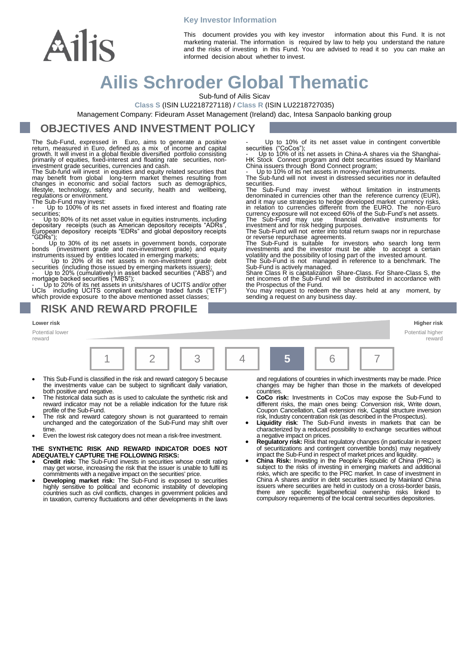# Ailis

This document provides you with key investor information about this Fund. It is not marketing material. The information is required by law to help you understand the nature and the risks of investing in this Fund. You are advised to read it so you can make an informed decision about whether to invest.

# **Ailis Schroder Global Thematic**

**Key Investor Information**

Sub-fund of Ailis Sicav

**Class S** (ISIN LU2218727118) / **Class R** (ISIN LU2218727035)

Management Company: Fideuram Asset Management (Ireland) dac, Intesa Sanpaolo banking group

# **OBJECTIVES AND INVESTMENT POLICY**

The Sub-Fund, expressed in Euro, aims to generate a positive return, measured in Euro, defined as a mix of income and capital growth. It will invest in a global flexible diversified portfolio consisting primarily of equities, fixed-interest and floating rate securities, non-investment grade securities, currencies and cash.

The Sub-fund will invest in equities and equity related securities that<br>may benefit from global long-term market themes resulting from<br>changes in economic and social factors such as demographics,<br>lifestyle, technology, saf

Potential lower reward

Up to 100% of its net assets in fixed interest and floating rate securities;

- Up to 80% of its net asset value in equities instruments, including depositary receipts (such as American depository receipts "ADRs", European depository receipts "EDRs" and global depository receipts "GDRs");

Up to 30% of its net assets in government bonds, corporate bonds (investment grade and non-investment grade) and equity instruments issued by entities located in emerging markets; - Up to 20% of its net assets in non-investment grade debt

securities (including those issued by emerging markets issuers);<br>- Up to 20% (cumulatively) in asset backed securities ("ABS") and<br>mortgage backed securities ("MBS");<br>- Up to 20% of its net assets in units/shares of UCITS

#### **RISK AND REWARD PROFILE**

- Up to 10% of its net asset value in contingent convertible securities ("CoCos"); - Up to 10% of its net assets in China-A shares via the Shanghai-

HK Stock Connect program and debt securities issued by Mainland China issuers through Bond Connect program;

Up to 10% of its net assets in money-market instruments.

The Sub-fund will not invest in distressed securities nor in defaulted securities.

The Sub-Fund may invest without limitation in instruments<br>denominated in currencies other than the reference currency (EUR),<br>and it may use strategies to hedge developed market currency risks,<br>in relation to currencies dif currency exposure will not exceed 60% of the Sub-Fund's net assets. The Sub-Fund may use financial derivative instruments for investment and for risk hedging purposes.

The Sub-Fund will not enter into total return swaps nor in repurchase

or reverse repurchase agreements.<br>The Sub-Fund is suitable for investors who search long term<br>investments and the investor must be able to accept a certain<br>volatility and the possibility of losing part of the invested amou

The Súb-Fund is not managed in reference to a benchmark. The<br>Sub-Fund is actively managed.<br>Share Class R is capitalization Share-Class. For Share-Class S, the<br>net incomes of the Sub-Fund will be distributed in accordance w the Prospectus of the Fund.

You may request to redeem the shares held at any moment, by sending a request on any business day.

**Lower risk Higher risk** Potential higher 1 | 2 | | 3 | | 4 | **5** | 6 | | 7

- This Sub-Fund is classified in the risk and reward category 5 because the investments value can be subject to significant daily variation, both positive and negative.
- The historical data such as is used to calculate the synthetic risk and reward indicator may not be a reliable indication for the future risk profile of the Sub-Fund.
- The risk and reward category shown is not guaranteed to remain unchanged and the categorization of the Sub-Fund may shift over time.
- Even the lowest risk category does not mean a risk-free investment.

**THE SYNTHETIC RISK AND REWARD INDICATOR DOES NOT ADEQUATELY CAPTURE THE FOLLOWING RISKS:**

- **Credit risk:** The Sub-Fund invests in securities whose credit rating may get worse, increasing the risk that the issuer is unable to fulfil its commitments with a negative impact on the securities' price.
- **Developing market risk:** The Sub-Fund is exposed to securities highly sensitive to political and economic instability of developing countries such as civil conflicts, changes in government policies and in taxation, currency fluctuations and other developments in the laws

and regulations of countries in which investments may be made. Price changes may be higher than those in the markets of developed countries.

reward

- **CoCo risk:** Investments in CoCos may expose the Sub-Fund to different risks, the main ones being: Conversion risk, Write down, Coupon Cancellation, Call extension risk, Capital structure inversion
- risk, Industry concentration risk (as described in the Prospectus). **Liquidity risk**: The Sub-Fund invests in markets that can be characterized by a reduced possibility to exchange securities without a negative impact on prices.
- **Regulatory risk:** Risk that regulatory changes (in particular in respect of securitizations and contingent convertible bonds) may negatively
- impact the Sub-Fund in respect of market prices and liquidity.<br>
 China Risk: Investing in the People's Republic of China (PRC) is<br>
subject to the risks of investing in emerging markets and additional<br>
risks, which are spe China A shares and/or in debt securities issued by Mainland China issuers where securities are held in custody on a cross-border basis, there are specific legal/beneficial ownership risks linked to compulsory requirements of the local central securities depositories.